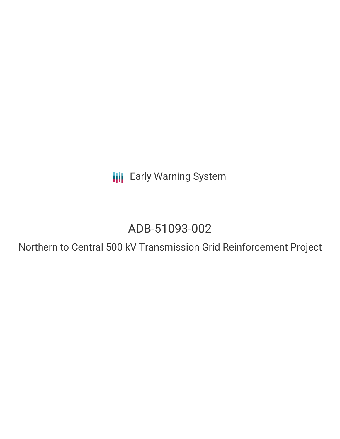**III** Early Warning System

# ADB-51093-002

Northern to Central 500 kV Transmission Grid Reinforcement Project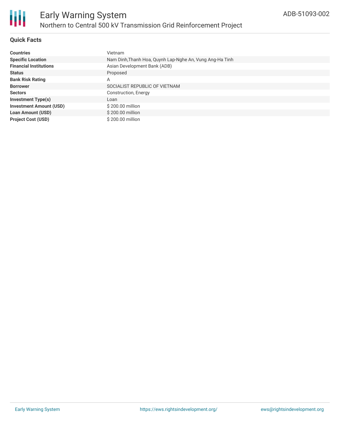

# **Quick Facts**

| <b>Countries</b>               | <b>Vietnam</b>                                           |
|--------------------------------|----------------------------------------------------------|
| <b>Specific Location</b>       | Nam Dinh, Thanh Hoa, Quynh Lap-Nghe An, Vung Ang-Ha Tinh |
| <b>Financial Institutions</b>  | Asian Development Bank (ADB)                             |
| <b>Status</b>                  | Proposed                                                 |
| <b>Bank Risk Rating</b>        | Α                                                        |
| <b>Borrower</b>                | SOCIALIST REPUBLIC OF VIETNAM                            |
| <b>Sectors</b>                 | Construction, Energy                                     |
| <b>Investment Type(s)</b>      | Loan                                                     |
| <b>Investment Amount (USD)</b> | \$200.00 million                                         |
| <b>Loan Amount (USD)</b>       | \$200.00 million                                         |
| <b>Project Cost (USD)</b>      | \$200.00 million                                         |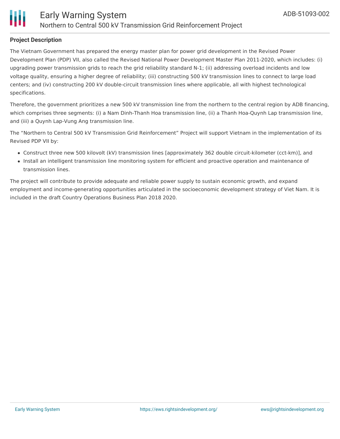

#### **Project Description**

The Vietnam Government has prepared the energy master plan for power grid development in the Revised Power Development Plan (PDP) VII, also called the Revised National Power Development Master Plan 2011-2020, which includes: (i) upgrading power transmission grids to reach the grid reliability standard N-1; (ii) addressing overload incidents and low voltage quality, ensuring a higher degree of reliability; (iii) constructing 500 kV transmission lines to connect to large load centers; and (iv) constructing 200 kV double-circuit transmission lines where applicable, all with highest technological specifications.

Therefore, the government prioritizes a new 500 kV transmission line from the northern to the central region by ADB financing, which comprises three segments: (i) a Nam Dinh-Thanh Hoa transmission line, (ii) a Thanh Hoa-Quynh Lap transmission line, and (iii) a Quynh Lap-Vung Ang transmission line.

The "Northern to Central 500 kV Transmission Grid Reinforcement" Project will support Vietnam in the implementation of its Revised PDP VII by:

- Construct three new 500 kilovolt (kV) transmission lines [approximately 362 double circuit-kilometer (cct-km)], and
- Install an intelligent transmission line monitoring system for efficient and proactive operation and maintenance of transmission lines.

The project will contribute to provide adequate and reliable power supply to sustain economic growth, and expand employment and income-generating opportunities articulated in the socioeconomic development strategy of Viet Nam. It is included in the draft Country Operations Business Plan 2018 2020.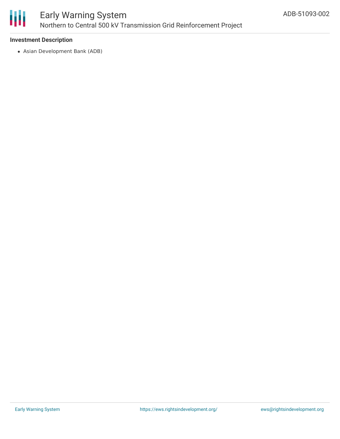

## **Investment Description**

Asian Development Bank (ADB)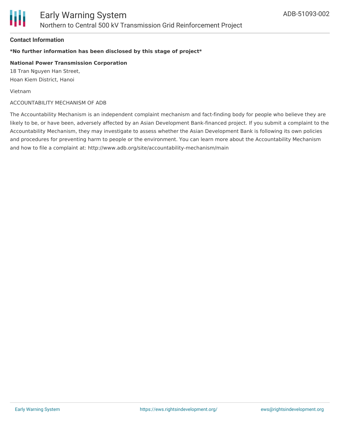

## **Contact Information**

# **\*No further information has been disclosed by this stage of project\***

#### **National Power Transmission Corporation**

18 Tran Nguyen Han Street, Hoan Kiem District, Hanoi

Vietnam

#### ACCOUNTABILITY MECHANISM OF ADB

The Accountability Mechanism is an independent complaint mechanism and fact-finding body for people who believe they are likely to be, or have been, adversely affected by an Asian Development Bank-financed project. If you submit a complaint to the Accountability Mechanism, they may investigate to assess whether the Asian Development Bank is following its own policies and procedures for preventing harm to people or the environment. You can learn more about the Accountability Mechanism and how to file a complaint at: http://www.adb.org/site/accountability-mechanism/main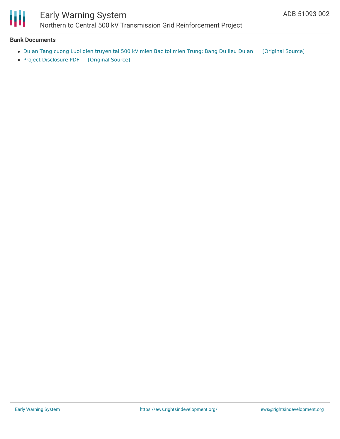

# Early Warning System Northern to Central 500 kV Transmission Grid Reinforcement Project

#### **Bank Documents**

- Du an Tang cuong Luoi dien [truyen](https://ewsdata.rightsindevelopment.org/files/documents/02/ADB-51093-002_b2XW7Ct.pdf) tai 500 kV mien Bac toi mien Trung: Bang Du lieu Du an [\[Original](https://www.adb.org/vi/projects/documents/51093-002-project-data-sheet) Source]
- Project [Disclosure](https://ewsdata.rightsindevelopment.org/files/documents/02/ADB-51093-002.pdf) PDF [\[Original](https://www.adb.org/printpdf/projects/51093-002/main) Source]